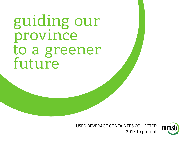guiding our province to a greener<br>future

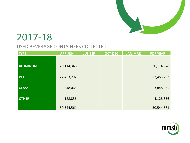

| <b>TYPE</b>     | <b>APR-JUN</b> | <b>JUL-SEP</b> | <b>OCT-DEC</b> | <b>JAN-MAR</b> | <b>FOR YEAR</b> |
|-----------------|----------------|----------------|----------------|----------------|-----------------|
|                 |                |                |                |                |                 |
| <b>ALUMINUM</b> | 20,114,348     |                |                |                | 20,114,348      |
|                 |                |                |                |                |                 |
| <b>PET</b>      | 22,453,292     |                |                |                | 22,453,292      |
|                 |                |                |                |                |                 |
| <b>GLASS</b>    | 3,848,065      |                |                |                | 3,848,065       |
|                 |                |                |                |                |                 |
| <b>OTHER</b>    | 4,128,856      |                |                |                | 4,128,856       |
|                 |                |                |                |                |                 |
|                 | 50,544,561     |                |                |                | 50,544,561      |

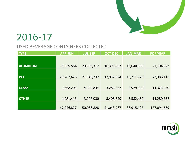

| <b>TYPE</b>     | <b>APR-JUN</b> | <b>JUL-SEP</b> | <b>OCT-DEC</b> | <b>JAN-MAR</b> | <b>FOR YEAR</b> |
|-----------------|----------------|----------------|----------------|----------------|-----------------|
|                 |                |                |                |                |                 |
| <b>ALUMINUM</b> | 18,529,584     | 20,539,317     | 16,395,002     | 15,640,969     | 71,104,872      |
|                 |                |                |                |                |                 |
| <b>PET</b>      | 20,767,626     | 21,948,737     | 17,957,974     | 16,711,778     | 77,386,115      |
|                 |                |                |                |                |                 |
| <b>GLASS</b>    | 3,668,204      | 4,392,844      | 3,282,262      | 2,979,920      | 14,323,230      |
|                 |                |                |                |                |                 |
| <b>OTHER</b>    | 4,081,413      | 3,207,930      | 3,408,549      | 3,582,460      | 14,280,352      |
|                 |                |                |                |                |                 |
|                 | 47,046,827     | 50,088,828     | 41,043,787     | 38,915,127     | 177,094,569     |

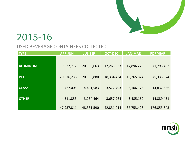

| <b>TYPE</b>     | <b>APR-JUN</b> | <b>JUL-SEP</b> | <b>OCT-DEC</b> | <b>JAN-MAR</b> | <b>FOR YEAR</b> |
|-----------------|----------------|----------------|----------------|----------------|-----------------|
|                 |                |                |                |                |                 |
| <b>ALUMINUM</b> | 19,322,717     | 20,308,663     | 17,265,823     | 14,896,279     | 71,793,482      |
|                 |                |                |                |                |                 |
| <b>PET</b>      | 20,376,236     | 20,356,880     | 18,334,434     | 16,265,824     | 75,333,374      |
|                 |                |                |                |                |                 |
| <b>GLASS</b>    | 3,727,005      | 4,431,583      | 3,572,793      | 3,106,175      | 14,837,556      |
|                 |                |                |                |                |                 |
| <b>OTHER</b>    | 4,511,853      | 3,234,464      | 3,657,964      | 3,485,150      | 14,889,431      |
|                 |                |                |                |                |                 |
|                 | 47,937,811     | 48,331,590     | 42,831,014     | 37,753,428     | 176,853,843     |

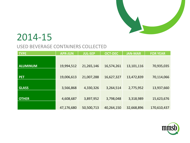

| <b>TYPE</b>     | <b>APR-JUN</b> | <b>JUL-SEP</b> | <b>OCT-DEC</b> | <b>JAN-MAR</b> | <b>FOR YEAR</b> |
|-----------------|----------------|----------------|----------------|----------------|-----------------|
|                 |                |                |                |                |                 |
| <b>ALUMINUM</b> | 19,994,512     | 21,265,146     | 16,574,261     | 13,101,116     | 70,935,035      |
|                 |                |                |                |                |                 |
| <b>PET</b>      | 19,006,613     | 21,007,288     | 16,627,327     | 13,472,839     | 70,114,066      |
|                 |                |                |                |                |                 |
| <b>GLASS</b>    | 3,566,868      | 4,330,326      | 3,264,514      | 2,775,952      | 13,937,660      |
|                 |                |                |                |                |                 |
| <b>OTHER</b>    | 4,608,687      | 3,897,952      | 3,798,048      | 3,318,989      | 15,623,676      |
|                 |                |                |                |                |                 |
|                 | 47,176,680     | 50,500,713     | 40,264,150     | 32,668,896     | 170,610,437     |

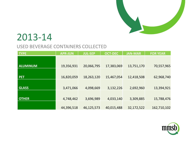

| <b>TYPE</b>     | <b>APR-JUN</b> | <b>JUL-SEP</b> | <b>OCT-DEC</b> | <b>JAN-MAR</b> | <b>FOR YEAR</b> |
|-----------------|----------------|----------------|----------------|----------------|-----------------|
|                 |                |                |                |                |                 |
|                 |                |                |                |                |                 |
| <b>ALUMINUM</b> | 19,356,931     | 20,066,795     | 17,383,069     | 13,751,170     | 70,557,965      |
|                 |                |                |                |                |                 |
| <b>PET</b>      | 16,820,059     | 18,263,120     | 15,467,054     | 12,418,508     | 62,968,740      |
|                 |                |                |                |                |                 |
|                 |                |                |                |                |                 |
| <b>GLASS</b>    | 3,471,066      | 4,098,669      | 3,132,226      | 2,692,960      | 13,394,921      |
|                 |                |                |                |                |                 |
|                 |                |                |                |                |                 |
| <b>OTHER</b>    | 4,748,462      | 3,696,989      | 4,033,140      | 3,309,885      | 15,788,476      |
|                 |                |                |                |                |                 |
|                 | 44,396,518     | 46,125,573     | 40,015,488     | 32,172,522     | 162,710,102     |

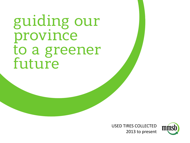guiding our province to a greener<br>future

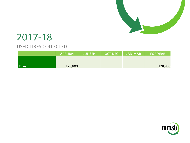

|              | <b>APR-JUN</b> | <b>JUL-SEP</b> | OCT-DEC   JAN-MAR  , | <b>EDR YEAR</b> |
|--------------|----------------|----------------|----------------------|-----------------|
|              |                |                |                      |                 |
| <b>Tires</b> | 128,800        |                |                      | 128,800         |

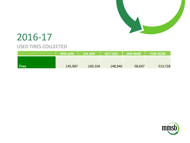

|              | <b>APR-JUN</b> | <b>JUL-SEP</b> | <b>OCT-DEC</b> | <b>JAN-MAR</b> | <b>FOR YEAR</b> |
|--------------|----------------|----------------|----------------|----------------|-----------------|
|              |                |                |                |                |                 |
| <b>Tires</b> | 145,987        | 160,104        | 148,940        | 58,697         | 513,728         |

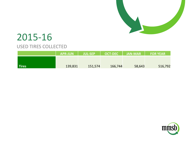

|       | <b>APR-JUN</b> | <b>JUL-SEP</b> | OCT-DEC <sup>1</sup> | <b>THE JAN-MARING</b> | <b>FOR YEAR</b> |
|-------|----------------|----------------|----------------------|-----------------------|-----------------|
|       |                |                |                      |                       |                 |
| Tires | 139,831        | 151,574        | 166,744              | 58,643                | 516,792         |

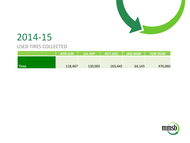

|              | <b>APR-JUN</b> | <b>JUL-SEP</b> | <b>OCT-DEC</b> | $\vert$ JAN-MAR $\vert$ | <b>FOR YEAR</b> |
|--------------|----------------|----------------|----------------|-------------------------|-----------------|
|              |                |                |                |                         |                 |
| <b>Tires</b> | 118,467        | 130,005        | 163,445        | 64,143                  | 476,060         |